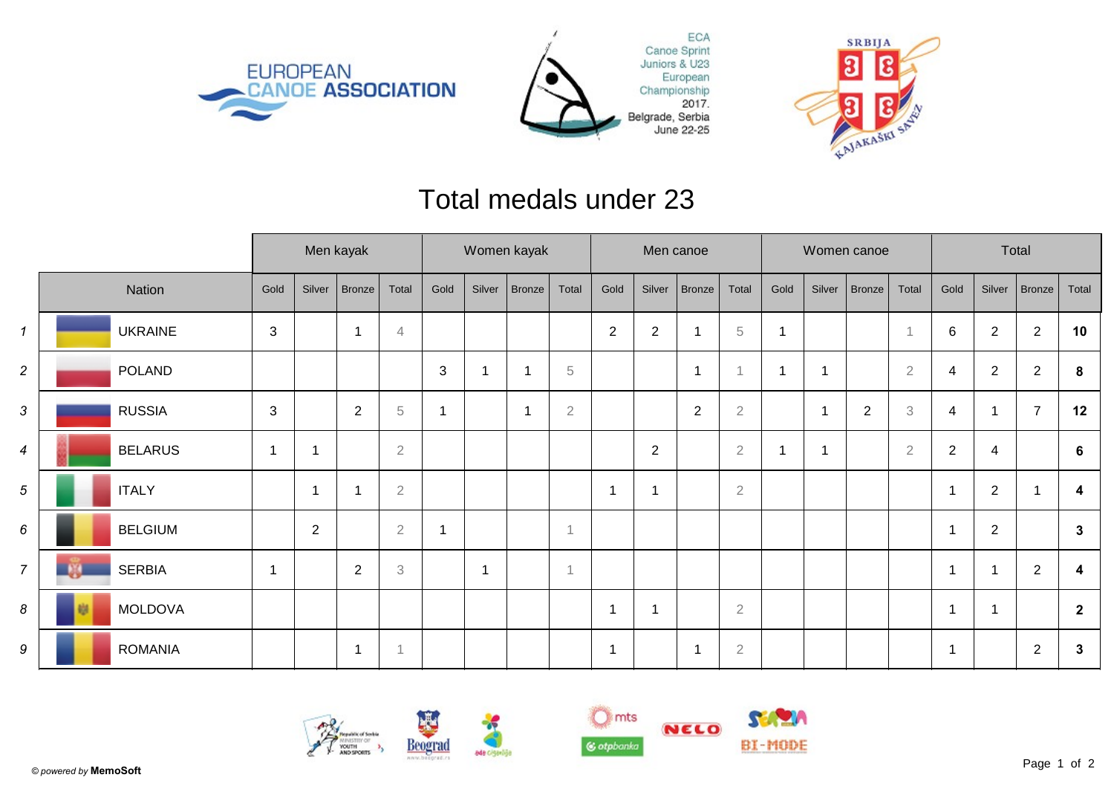





## Total medals under 23

|                |                | Men kayak      |                |                         |              | Women kayak  |                |        |                | Men canoe      |                |                         |             | Women canoe |        |            |                           | Total          |                |                |                         |
|----------------|----------------|----------------|----------------|-------------------------|--------------|--------------|----------------|--------|----------------|----------------|----------------|-------------------------|-------------|-------------|--------|------------|---------------------------|----------------|----------------|----------------|-------------------------|
|                | Nation         | Gold           | Silver         | Bronze                  | Total        | Gold         | Silver         | Bronze | Total          | Gold           | Silver         | Bronze                  | Total       | Gold        | Silver | Bronze     | Total                     | Gold           | Silver         | $ $ Bronze $ $ | Total                   |
| $\mathbf{1}$   | <b>UKRAINE</b> | 3              |                | -1                      | 4            |              |                |        |                | $\overline{2}$ | $\overline{c}$ |                         | $\,$ 5 $\,$ |             |        |            |                           | 6              | $\overline{2}$ | $\overline{2}$ | 10                      |
| $\overline{c}$ | <b>POLAND</b>  |                |                |                         |              | $\mathbf{3}$ | 1              |        | $\overline{5}$ |                |                | $\overline{1}$          | 4           |             | -1     |            | $\overline{2}$            | 4              | $\overline{2}$ | $\overline{2}$ | 8                       |
| 3              | <b>RUSSIA</b>  | $\mathbf{3}$   |                | $\overline{2}$          | $\,$ 5       |              |                |        | $\overline{2}$ |                |                | $\mathbf{2}$            | $\sqrt{2}$  |             |        | $\sqrt{2}$ | $\ensuremath{\mathbf{3}}$ | 4              |                | $\overline{7}$ | 12                      |
| 4              | <b>BELARUS</b> | $\overline{1}$ | -1             |                         | $\sqrt{2}$   |              |                |        |                |                | $\overline{2}$ |                         | $\sqrt{2}$  |             | -1     |            | $\overline{2}$            | $\overline{2}$ | 4              |                | 6                       |
| 5              | <b>ITALY</b>   |                |                |                         | $\sqrt{2}$   |              |                |        |                | 1              | 1              |                         | $\sqrt{2}$  |             |        |            |                           | $\overline{1}$ | $\overline{2}$ |                | 4                       |
| 6              | <b>BELGIUM</b> |                | $\overline{2}$ |                         | $\mathbf{2}$ |              |                |        |                |                |                |                         |             |             |        |            |                           | $\overline{1}$ | $\overline{2}$ |                | $\mathbf{3}$            |
| $\overline{7}$ | <b>SERBIA</b>  | $\overline{1}$ |                | $\overline{2}$          | $\,3$        |              | $\overline{1}$ |        | $\overline{A}$ |                |                |                         |             |             |        |            |                           | $\mathbf 1$    |                | $\overline{2}$ | $\overline{\mathbf{4}}$ |
| 8              | <b>MOLDOVA</b> |                |                |                         |              |              |                |        |                | -1             | 1              |                         | $\sqrt{2}$  |             |        |            |                           | 1              |                |                | $\overline{2}$          |
| 9              | <b>ROMANIA</b> |                |                | $\overline{\mathbf{1}}$ | -1           |              |                |        |                | -1             |                | $\overline{\mathbf{1}}$ | $\sqrt{2}$  |             |        |            |                           | 1              |                | $\overline{2}$ | $\mathbf{3}$            |









NELO